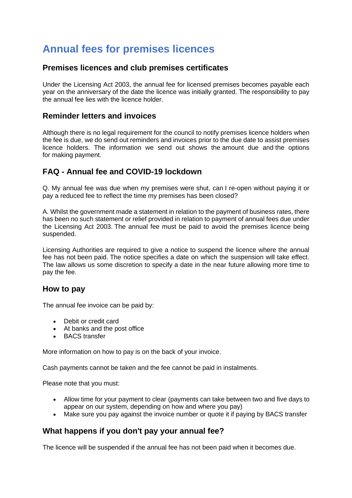# **Annual fees for premises licences**

#### **Premises licences and club premises certificates**

Under the Licensing Act 2003, the annual fee for licensed premises becomes payable each year on the anniversary of the date the licence was initially granted. The responsibility to pay the annual fee lies with the licence holder.

#### **Reminder letters and invoices**

Although there is no legal requirement for the council to notify premises licence holders when the fee is due, we do send out reminders and invoices prior to the due date to assist premises licence holders. The information we send out shows the amount due and the options for making payment.

### **FAQ - Annual fee and COVID-19 lockdown**

Q. My annual fee was due when my premises were shut, can I re-open without paying it or pay a reduced fee to reflect the time my premises has been closed?

A. Whilst the government made a statement in relation to the payment of business rates, there has been no such statement or relief provided in relation to payment of annual fees due under the Licensing Act 2003. The annual fee must be paid to avoid the premises licence being suspended.

Licensing Authorities are required to give a notice to suspend the licence where the annual fee has not been paid. The notice specifies a date on which the suspension will take effect. The law allows us some discretion to specify a date in the near future allowing more time to pay the fee.

#### **How to pay**

The annual fee invoice can be paid by:

- Debit or credit card
- At banks and the post office
- BACS transfer

More information on how to pay is on the back of your invoice.

Cash payments cannot be taken and the fee cannot be paid in instalments.

Please note that you must:

- Allow time for your payment to clear (payments can take between two and five days to appear on our system, depending on how and where you pay)
- Make sure you pay against the invoice number or quote it if paying by BACS transfer

## **What happens if you don't pay your annual fee?**

The licence will be suspended if the annual fee has not been paid when it becomes due.